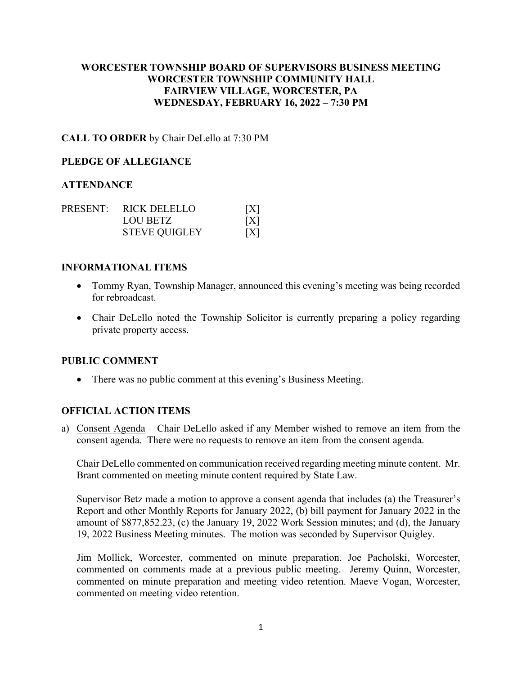## **WORCESTER TOWNSHIP BOARD OF SUPERVISORS BUSINESS MEETING WORCESTER TOWNSHIP COMMUNITY HALL FAIRVIEW VILLAGE, WORCESTER, PA WEDNESDAY, FEBRUARY 16, 2022 – 7:30 PM**

## **CALL TO ORDER** by Chair DeLello at 7:30 PM

#### **PLEDGE OF ALLEGIANCE**

### **ATTENDANCE**

|  | PRESENT: RICK DELELLO | [X] |
|--|-----------------------|-----|
|  | LOU BETZ              | [X] |
|  | <b>STEVE QUIGLEY</b>  | [X] |

#### **INFORMATIONAL ITEMS**

- Tommy Ryan, Township Manager, announced this evening's meeting was being recorded for rebroadcast.
- Chair DeLello noted the Township Solicitor is currently preparing a policy regarding private property access.

#### **PUBLIC COMMENT**

• There was no public comment at this evening's Business Meeting.

## **OFFICIAL ACTION ITEMS**

a) Consent Agenda – Chair DeLello asked if any Member wished to remove an item from the consent agenda. There were no requests to remove an item from the consent agenda.

Chair DeLello commented on communication received regarding meeting minute content. Mr. Brant commented on meeting minute content required by State Law.

Supervisor Betz made a motion to approve a consent agenda that includes (a) the Treasurer's Report and other Monthly Reports for January 2022, (b) bill payment for January 2022 in the amount of \$877,852.23, (c) the January 19, 2022 Work Session minutes; and (d), the January 19, 2022 Business Meeting minutes. The motion was seconded by Supervisor Quigley.

Jim Mollick, Worcester, commented on minute preparation. Joe Pacholski, Worcester, commented on comments made at a previous public meeting. Jeremy Quinn, Worcester, commented on minute preparation and meeting video retention. Maeve Vogan, Worcester, commented on meeting video retention.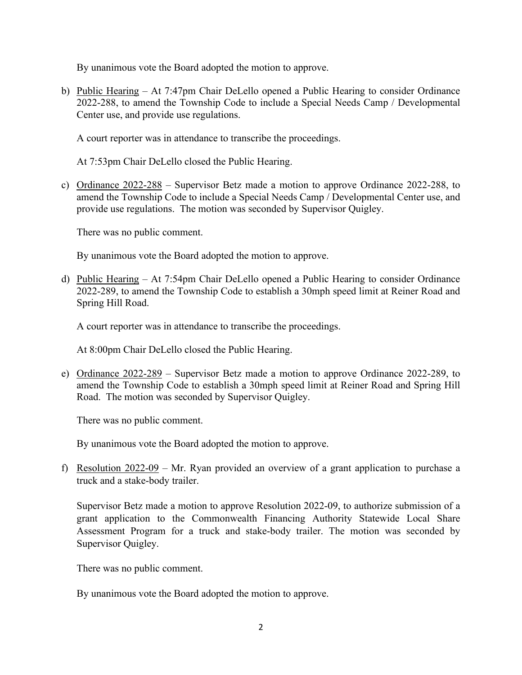By unanimous vote the Board adopted the motion to approve.

b) Public Hearing – At 7:47pm Chair DeLello opened a Public Hearing to consider Ordinance 2022-288, to amend the Township Code to include a Special Needs Camp / Developmental Center use, and provide use regulations.

A court reporter was in attendance to transcribe the proceedings.

At 7:53pm Chair DeLello closed the Public Hearing.

c) Ordinance 2022-288 – Supervisor Betz made a motion to approve Ordinance 2022-288, to amend the Township Code to include a Special Needs Camp / Developmental Center use, and provide use regulations. The motion was seconded by Supervisor Quigley.

There was no public comment.

By unanimous vote the Board adopted the motion to approve.

d) Public Hearing – At 7:54pm Chair DeLello opened a Public Hearing to consider Ordinance 2022-289, to amend the Township Code to establish a 30mph speed limit at Reiner Road and Spring Hill Road.

A court reporter was in attendance to transcribe the proceedings.

At 8:00pm Chair DeLello closed the Public Hearing.

e) Ordinance 2022-289 – Supervisor Betz made a motion to approve Ordinance 2022-289, to amend the Township Code to establish a 30mph speed limit at Reiner Road and Spring Hill Road. The motion was seconded by Supervisor Quigley.

There was no public comment.

By unanimous vote the Board adopted the motion to approve.

f) Resolution  $2022-09$  – Mr. Ryan provided an overview of a grant application to purchase a truck and a stake-body trailer.

Supervisor Betz made a motion to approve Resolution 2022-09, to authorize submission of a grant application to the Commonwealth Financing Authority Statewide Local Share Assessment Program for a truck and stake-body trailer. The motion was seconded by Supervisor Quigley.

There was no public comment.

By unanimous vote the Board adopted the motion to approve.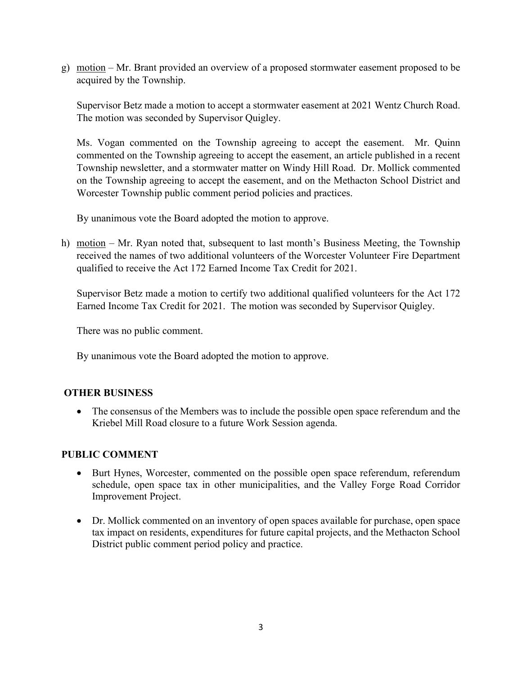g) motion – Mr. Brant provided an overview of a proposed stormwater easement proposed to be acquired by the Township.

Supervisor Betz made a motion to accept a stormwater easement at 2021 Wentz Church Road. The motion was seconded by Supervisor Quigley.

Ms. Vogan commented on the Township agreeing to accept the easement. Mr. Quinn commented on the Township agreeing to accept the easement, an article published in a recent Township newsletter, and a stormwater matter on Windy Hill Road. Dr. Mollick commented on the Township agreeing to accept the easement, and on the Methacton School District and Worcester Township public comment period policies and practices.

By unanimous vote the Board adopted the motion to approve.

h) motion – Mr. Ryan noted that, subsequent to last month's Business Meeting, the Township received the names of two additional volunteers of the Worcester Volunteer Fire Department qualified to receive the Act 172 Earned Income Tax Credit for 2021.

Supervisor Betz made a motion to certify two additional qualified volunteers for the Act 172 Earned Income Tax Credit for 2021. The motion was seconded by Supervisor Quigley.

There was no public comment.

By unanimous vote the Board adopted the motion to approve.

## **OTHER BUSINESS**

• The consensus of the Members was to include the possible open space referendum and the Kriebel Mill Road closure to a future Work Session agenda.

## **PUBLIC COMMENT**

- Burt Hynes, Worcester, commented on the possible open space referendum, referendum schedule, open space tax in other municipalities, and the Valley Forge Road Corridor Improvement Project.
- Dr. Mollick commented on an inventory of open spaces available for purchase, open space tax impact on residents, expenditures for future capital projects, and the Methacton School District public comment period policy and practice.